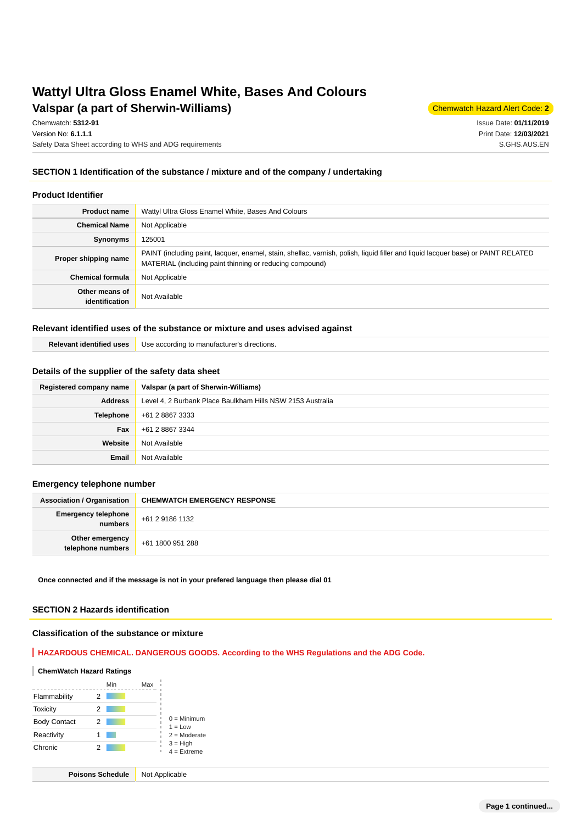## **Valspar (a part of Sherwin-Williams)** Chemwatch Hazard Alert Code: 2 **Wattyl Ultra Gloss Enamel White, Bases And Colours**

Chemwatch: **5312-91**

Version No: **6.1.1.1** Safety Data Sheet according to WHS and ADG requirements Issue Date: **01/11/2019** Print Date: **12/03/2021** S.GHS.AUS.EN

#### **SECTION 1 Identification of the substance / mixture and of the company / undertaking**

#### **Product Identifier**

| <b>Product name</b>              | Wattyl Ultra Gloss Enamel White, Bases And Colours                                                                                                                                            |  |  |
|----------------------------------|-----------------------------------------------------------------------------------------------------------------------------------------------------------------------------------------------|--|--|
| <b>Chemical Name</b>             | Not Applicable                                                                                                                                                                                |  |  |
| Synonyms                         | 125001                                                                                                                                                                                        |  |  |
| Proper shipping name             | PAINT (including paint, lacquer, enamel, stain, shellac, varnish, polish, liquid filler and liquid lacquer base) or PAINT RELATED<br>MATERIAL (including paint thinning or reducing compound) |  |  |
| <b>Chemical formula</b>          | Not Applicable                                                                                                                                                                                |  |  |
| Other means of<br>identification | Not Available                                                                                                                                                                                 |  |  |

#### **Relevant identified uses of the substance or mixture and uses advised against**

| $ -$              | Use according to r |
|-------------------|--------------------|
| 1188 <sup>c</sup> | s directions.      |
| identified        | ⊦ manutacturer     |
|                   |                    |
|                   |                    |

#### **Details of the supplier of the safety data sheet**

| Registered company name | Valspar (a part of Sherwin-Williams)                       |  |  |
|-------------------------|------------------------------------------------------------|--|--|
| <b>Address</b>          | Level 4, 2 Burbank Place Baulkham Hills NSW 2153 Australia |  |  |
| <b>Telephone</b>        | +61 2 8867 3333                                            |  |  |
| Fax                     | +61 2 8867 3344                                            |  |  |
| Website                 | Not Available                                              |  |  |
| <b>Email</b>            | Not Available                                              |  |  |

#### **Emergency telephone number**

| <b>Association / Organisation</b>    | <b>CHEMWATCH EMERGENCY RESPONSE</b> |  |
|--------------------------------------|-------------------------------------|--|
| Emergency telephone<br>numbers       | +61 2 9186 1132                     |  |
| Other emergency<br>telephone numbers | +61 1800 951 288                    |  |

**Once connected and if the message is not in your prefered language then please dial 01**

### **SECTION 2 Hazards identification**

#### **Classification of the substance or mixture**

**HAZARDOUS CHEMICAL. DANGEROUS GOODS. According to the WHS Regulations and the ADG Code.**

#### **ChemWatch Hazard Ratings**

|                     | Min | Max |                             |
|---------------------|-----|-----|-----------------------------|
| Flammability        |     |     |                             |
| <b>Toxicity</b>     | 2   |     |                             |
| <b>Body Contact</b> | 2   |     | $0 =$ Minimum<br>$1 = Low$  |
| Reactivity          |     |     | $2 =$ Moderate              |
| Chronic             | 2   |     | $3 = High$<br>$4 =$ Extreme |

**Poisons Schedule** Not Applicable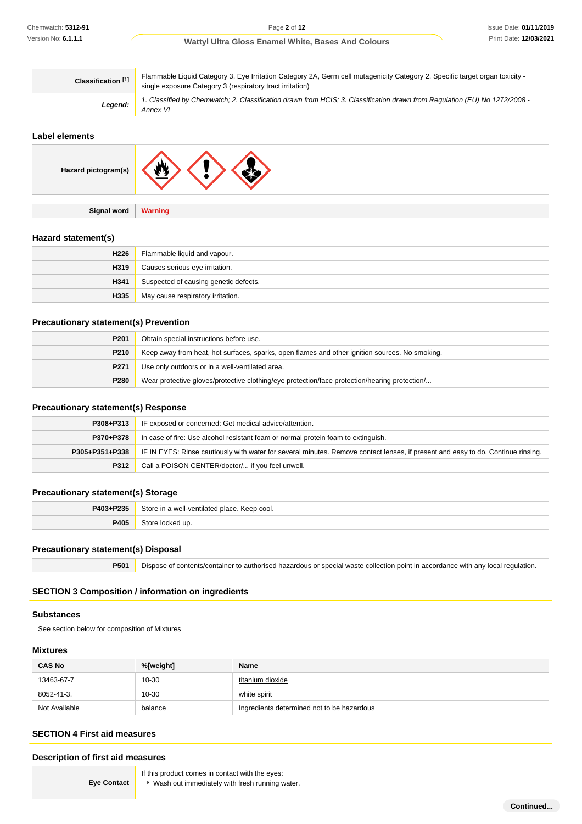| Classification <sup>[1]</sup> | Flammable Liquid Category 3, Eye Irritation Category 2A, Germ cell mutagenicity Category 2, Specific target organ toxicity -<br>single exposure Category 3 (respiratory tract irritation) |  |
|-------------------------------|-------------------------------------------------------------------------------------------------------------------------------------------------------------------------------------------|--|
| Legend:                       | 1. Classified by Chemwatch; 2. Classification drawn from HCIS; 3. Classification drawn from Regulation (EU) No 1272/2008 -<br>Annex VI                                                    |  |

## **Label elements**

| Hazard pictogram(s) |  |
|---------------------|--|
|                     |  |

**Signal word Warning**

### **Hazard statement(s)**

| H <sub>226</sub> | Flammable liquid and vapour.          |  |
|------------------|---------------------------------------|--|
| H319             | Causes serious eye irritation.        |  |
| H341             | Suspected of causing genetic defects. |  |
| H335             | May cause respiratory irritation.     |  |

### **Precautionary statement(s) Prevention**

| P201 | Obtain special instructions before use.                                                        |  |
|------|------------------------------------------------------------------------------------------------|--|
| P210 | Keep away from heat, hot surfaces, sparks, open flames and other ignition sources. No smoking. |  |
| P271 | Use only outdoors or in a well-ventilated area.                                                |  |
| P280 | Wear protective gloves/protective clothing/eye protection/face protection/hearing protection/  |  |

### **Precautionary statement(s) Response**

| P308+P313      | IF exposed or concerned: Get medical advice/attention.                                                                           |  |  |
|----------------|----------------------------------------------------------------------------------------------------------------------------------|--|--|
| P370+P378      | In case of fire: Use alcohol resistant foam or normal protein foam to extinguish.                                                |  |  |
| P305+P351+P338 | IF IN EYES: Rinse cautiously with water for several minutes. Remove contact lenses, if present and easy to do. Continue rinsing. |  |  |
| P312           | Call a POISON CENTER/doctor/ if you feel unwell.                                                                                 |  |  |

## **Precautionary statement(s) Storage**

| P403+P235 | Store<br>a well-ventilated place. I<br>Keep cool.<br>$  -$ |  |
|-----------|------------------------------------------------------------|--|
| 2405      |                                                            |  |

#### **Precautionary statement(s) Disposal**

**P501** Dispose of contents/container to authorised hazardous or special waste collection point in accordance with any local regulation.

## **SECTION 3 Composition / information on ingredients**

#### **Substances**

See section below for composition of Mixtures

#### **Mixtures**

| <b>CAS No</b> | %[weight] | Name                                       |
|---------------|-----------|--------------------------------------------|
| 13463-67-7    | 10-30     | titanium dioxide                           |
| 8052-41-3.    | $10 - 30$ | white spirit                               |
| Not Available | balance   | Ingredients determined not to be hazardous |

#### **SECTION 4 First aid measures**

#### **Description of first aid measures**

**Eye Contact**

- If this product comes in contact with the eyes:
- Wash out immediately with fresh running water.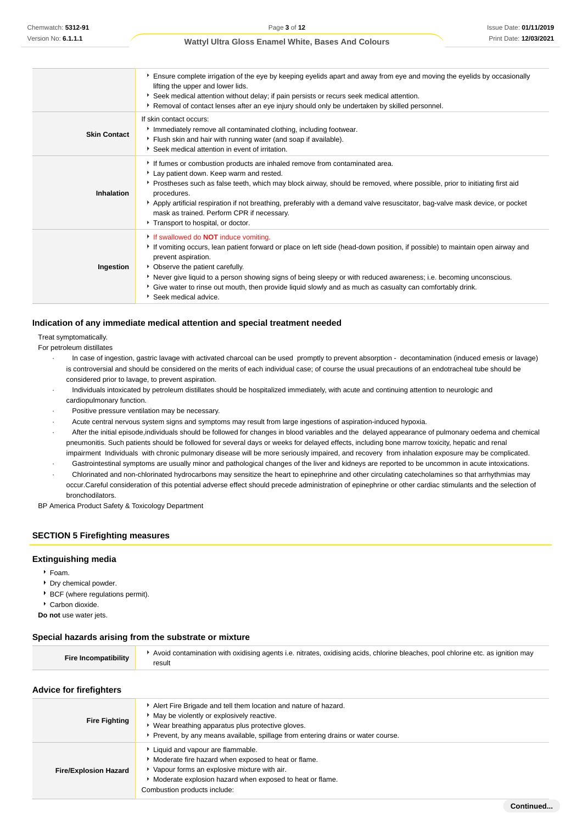|                     | Ensure complete irrigation of the eye by keeping eyelids apart and away from eye and moving the eyelids by occasionally<br>lifting the upper and lower lids.<br>▶ Seek medical attention without delay; if pain persists or recurs seek medical attention.<br>Removal of contact lenses after an eye injury should only be undertaken by skilled personnel.                                                                                                                                         |
|---------------------|-----------------------------------------------------------------------------------------------------------------------------------------------------------------------------------------------------------------------------------------------------------------------------------------------------------------------------------------------------------------------------------------------------------------------------------------------------------------------------------------------------|
| <b>Skin Contact</b> | If skin contact occurs:<br>Immediately remove all contaminated clothing, including footwear.<br>Flush skin and hair with running water (and soap if available).<br>Seek medical attention in event of irritation.                                                                                                                                                                                                                                                                                   |
| Inhalation          | If fumes or combustion products are inhaled remove from contaminated area.<br>Lay patient down. Keep warm and rested.<br>Prostheses such as false teeth, which may block airway, should be removed, where possible, prior to initiating first aid<br>procedures.<br>Apply artificial respiration if not breathing, preferably with a demand valve resuscitator, bag-valve mask device, or pocket<br>mask as trained. Perform CPR if necessary.<br>Transport to hospital, or doctor.                 |
| Ingestion           | If swallowed do <b>NOT</b> induce vomiting.<br>If vomiting occurs, lean patient forward or place on left side (head-down position, if possible) to maintain open airway and<br>prevent aspiration.<br>• Observe the patient carefully.<br>▶ Never give liquid to a person showing signs of being sleepy or with reduced awareness; i.e. becoming unconscious.<br>Give water to rinse out mouth, then provide liquid slowly and as much as casualty can comfortably drink.<br>* Seek medical advice. |

#### **Indication of any immediate medical attention and special treatment needed**

#### Treat symptomatically.

For petroleum distillates

- · In case of ingestion, gastric lavage with activated charcoal can be used promptly to prevent absorption decontamination (induced emesis or lavage) is controversial and should be considered on the merits of each individual case; of course the usual precautions of an endotracheal tube should be considered prior to lavage, to prevent aspiration.
- · Individuals intoxicated by petroleum distillates should be hospitalized immediately, with acute and continuing attention to neurologic and cardiopulmonary function.
- Positive pressure ventilation may be necessary.
- · Acute central nervous system signs and symptoms may result from large ingestions of aspiration-induced hypoxia.
- After the initial episode,individuals should be followed for changes in blood variables and the delayed appearance of pulmonary oedema and chemical pneumonitis. Such patients should be followed for several days or weeks for delayed effects, including bone marrow toxicity, hepatic and renal impairment Individuals with chronic pulmonary disease will be more seriously impaired, and recovery from inhalation exposure may be complicated.
- · Gastrointestinal symptoms are usually minor and pathological changes of the liver and kidneys are reported to be uncommon in acute intoxications.
- · Chlorinated and non-chlorinated hydrocarbons may sensitize the heart to epinephrine and other circulating catecholamines so that arrhythmias may occur.Careful consideration of this potential adverse effect should precede administration of epinephrine or other cardiac stimulants and the selection of

bronchodilators. BP America Product Safety & Toxicology Department

### **SECTION 5 Firefighting measures**

#### **Extinguishing media**

- Foam.
- Dry chemical powder.
- **BCF** (where regulations permit).
- Carbon dioxide.
- **Do not** use water jets.

#### **Special hazards arising from the substrate or mixture**

| Avoid contamination with oxidising agents i.e. nitrates, oxidising acids, chlorine bleaches, pool chlorine etc. as ignition may<br><b>Fire Incompatibility</b><br>result |  |
|--------------------------------------------------------------------------------------------------------------------------------------------------------------------------|--|
|--------------------------------------------------------------------------------------------------------------------------------------------------------------------------|--|

#### **Advice for firefighters**

| <b>Fire Fighting</b>         | Alert Fire Brigade and tell them location and nature of hazard.<br>May be violently or explosively reactive.<br>Wear breathing apparatus plus protective gloves.<br>Prevent, by any means available, spillage from entering drains or water course. |  |
|------------------------------|-----------------------------------------------------------------------------------------------------------------------------------------------------------------------------------------------------------------------------------------------------|--|
| <b>Fire/Explosion Hazard</b> | Liquid and vapour are flammable.<br>Moderate fire hazard when exposed to heat or flame.<br>Vapour forms an explosive mixture with air.<br>• Moderate explosion hazard when exposed to heat or flame.<br>Combustion products include:                |  |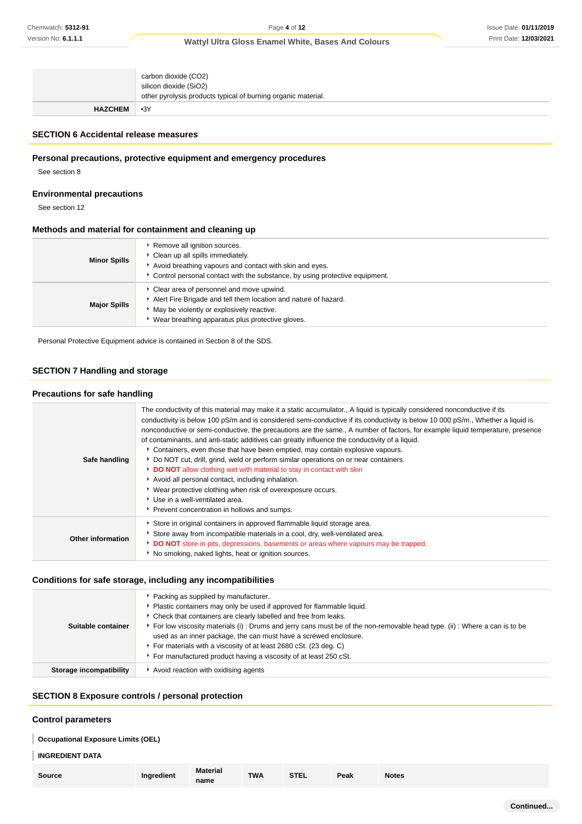|                | carbon dioxide (CO2)<br>silicon dioxide (SiO2)<br>other pyrolysis products typical of burning organic material. |
|----------------|-----------------------------------------------------------------------------------------------------------------|
| <b>HAZCHEM</b> | $-3Y$                                                                                                           |

## **SECTION 6 Accidental release measures**

## **Personal precautions, protective equipment and emergency procedures**

See section 8

### **Environmental precautions**

See section 12

### **Methods and material for containment and cleaning up**

| <b>Minor Spills</b> | Remove all ignition sources.<br>Clean up all spills immediately.<br>Avoid breathing vapours and contact with skin and eyes.<br>Control personal contact with the substance, by using protective equipment.   |  |
|---------------------|--------------------------------------------------------------------------------------------------------------------------------------------------------------------------------------------------------------|--|
| <b>Major Spills</b> | Clear area of personnel and move upwind.<br>Alert Fire Brigade and tell them location and nature of hazard.<br>May be violently or explosively reactive.<br>Wear breathing apparatus plus protective gloves. |  |

Personal Protective Equipment advice is contained in Section 8 of the SDS.

## **SECTION 7 Handling and storage**

## **Precautions for safe handling**

| Safe handling            | The conductivity of this material may make it a static accumulator., A liquid is typically considered nonconductive if its<br>conductivity is below 100 pS/m and is considered semi-conductive if its conductivity is below 10 000 pS/m., Whether a liquid is<br>nonconductive or semi-conductive, the precautions are the same., A number of factors, for example liquid temperature, presence<br>of contaminants, and anti-static additives can greatly influence the conductivity of a liquid.<br>Containers, even those that have been emptied, may contain explosive vapours.<br>▶ Do NOT cut, drill, grind, weld or perform similar operations on or near containers.<br>DO NOT allow clothing wet with material to stay in contact with skin<br>Avoid all personal contact, including inhalation.<br>• Wear protective clothing when risk of overexposure occurs.<br>Use in a well-ventilated area.<br>Prevent concentration in hollows and sumps. |
|--------------------------|-----------------------------------------------------------------------------------------------------------------------------------------------------------------------------------------------------------------------------------------------------------------------------------------------------------------------------------------------------------------------------------------------------------------------------------------------------------------------------------------------------------------------------------------------------------------------------------------------------------------------------------------------------------------------------------------------------------------------------------------------------------------------------------------------------------------------------------------------------------------------------------------------------------------------------------------------------------|
| <b>Other information</b> | Store in original containers in approved flammable liquid storage area.<br>Store away from incompatible materials in a cool, dry, well-ventilated area.<br>DO NOT store in pits, depressions, basements or areas where vapours may be trapped.<br>No smoking, naked lights, heat or ignition sources.                                                                                                                                                                                                                                                                                                                                                                                                                                                                                                                                                                                                                                                     |

## **Conditions for safe storage, including any incompatibilities**

| Suitable container      | Packing as supplied by manufacturer.<br>Plastic containers may only be used if approved for flammable liquid.<br>Check that containers are clearly labelled and free from leaks.<br>For low viscosity materials (i): Drums and jerry cans must be of the non-removable head type. (ii): Where a can is to be |  |  |  |  |
|-------------------------|--------------------------------------------------------------------------------------------------------------------------------------------------------------------------------------------------------------------------------------------------------------------------------------------------------------|--|--|--|--|
|                         | used as an inner package, the can must have a screwed enclosure.<br>For materials with a viscosity of at least 2680 cSt. (23 deg. C)<br>For manufactured product having a viscosity of at least 250 cSt.                                                                                                     |  |  |  |  |
| Storage incompatibility | Avoid reaction with oxidising agents                                                                                                                                                                                                                                                                         |  |  |  |  |

## **SECTION 8 Exposure controls / personal protection**

#### **Control parameters**

| Occupational Exposure Limits (OEL) |
|------------------------------------|
| <b>INGREDIENT DATA</b>             |

| <b>Source</b> | Ingredient | <b>Material</b><br>name | <b>TWA</b> | <b>STEL</b> | Peak | <b>Notes</b> |
|---------------|------------|-------------------------|------------|-------------|------|--------------|
|---------------|------------|-------------------------|------------|-------------|------|--------------|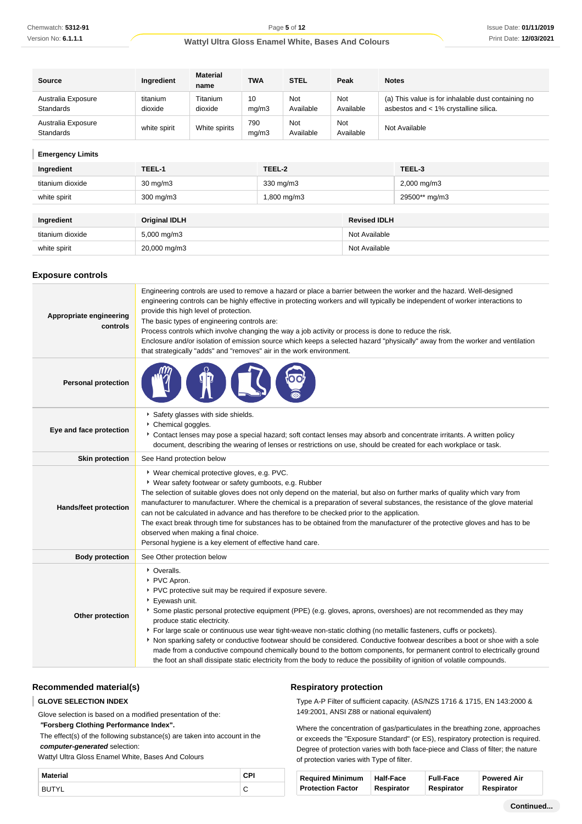| <b>Source</b>                          | Ingredient          | <b>Material</b><br>name | <b>TWA</b>   | <b>STEL</b>      | Peak                    | <b>Notes</b>                                                                                |
|----------------------------------------|---------------------|-------------------------|--------------|------------------|-------------------------|---------------------------------------------------------------------------------------------|
| Australia Exposure<br><b>Standards</b> | titanium<br>dioxide | Titanium<br>dioxide     | 10<br>mq/m3  | Not<br>Available | <b>Not</b><br>Available | (a) This value is for inhalable dust containing no<br>asbestos and < 1% crystalline silica. |
| Australia Exposure<br>Standards        | white spirit        | White spirits           | 790<br>ma/m3 | Not<br>Available | Not<br>Available        | Not Available                                                                               |

## **Emergency Limits**

I

| Ingredient       | TEEL-1               | TEEL-2      |                     | TEEL-3                  |
|------------------|----------------------|-------------|---------------------|-------------------------|
| titanium dioxide | $30 \text{ mg/m}$    | 330 mg/m3   |                     | $2,000 \,\mathrm{mg/m}$ |
| white spirit     | $300$ mg/m $3$       | 1,800 mg/m3 |                     | 29500** mg/m3           |
|                  |                      |             |                     |                         |
| Ingredient       | <b>Original IDLH</b> |             | <b>Revised IDLH</b> |                         |
| titanium dioxide | 5,000 mg/m3          |             | Not Available       |                         |
| white spirit     | 20,000 mg/m3         |             | Not Available       |                         |

#### **Exposure controls**

| Engineering controls are used to remove a hazard or place a barrier between the worker and the hazard. Well-designed<br>engineering controls can be highly effective in protecting workers and will typically be independent of worker interactions to<br>provide this high level of protection.<br>Appropriate engineering<br>The basic types of engineering controls are:<br>controls<br>Process controls which involve changing the way a job activity or process is done to reduce the risk.<br>Enclosure and/or isolation of emission source which keeps a selected hazard "physically" away from the worker and ventilation<br>that strategically "adds" and "removes" air in the work environment. |                                                                                                                                                                                                                                                                                                                                                                                                                                                                                                                                                                                                                                                                                                                                                                         |  |  |  |  |
|-----------------------------------------------------------------------------------------------------------------------------------------------------------------------------------------------------------------------------------------------------------------------------------------------------------------------------------------------------------------------------------------------------------------------------------------------------------------------------------------------------------------------------------------------------------------------------------------------------------------------------------------------------------------------------------------------------------|-------------------------------------------------------------------------------------------------------------------------------------------------------------------------------------------------------------------------------------------------------------------------------------------------------------------------------------------------------------------------------------------------------------------------------------------------------------------------------------------------------------------------------------------------------------------------------------------------------------------------------------------------------------------------------------------------------------------------------------------------------------------------|--|--|--|--|
| <b>Personal protection</b>                                                                                                                                                                                                                                                                                                                                                                                                                                                                                                                                                                                                                                                                                |                                                                                                                                                                                                                                                                                                                                                                                                                                                                                                                                                                                                                                                                                                                                                                         |  |  |  |  |
| Eye and face protection                                                                                                                                                                                                                                                                                                                                                                                                                                                                                                                                                                                                                                                                                   | Safety glasses with side shields.<br>Chemical goggles.<br>Contact lenses may pose a special hazard; soft contact lenses may absorb and concentrate irritants. A written policy<br>document, describing the wearing of lenses or restrictions on use, should be created for each workplace or task.                                                                                                                                                                                                                                                                                                                                                                                                                                                                      |  |  |  |  |
| <b>Skin protection</b>                                                                                                                                                                                                                                                                                                                                                                                                                                                                                                                                                                                                                                                                                    | See Hand protection below                                                                                                                                                                                                                                                                                                                                                                                                                                                                                                                                                                                                                                                                                                                                               |  |  |  |  |
| <b>Hands/feet protection</b>                                                                                                                                                                                                                                                                                                                                                                                                                                                                                                                                                                                                                                                                              | * Wear chemical protective gloves, e.g. PVC.<br>* Wear safety footwear or safety gumboots, e.g. Rubber<br>The selection of suitable gloves does not only depend on the material, but also on further marks of quality which vary from<br>manufacturer to manufacturer. Where the chemical is a preparation of several substances, the resistance of the glove material<br>can not be calculated in advance and has therefore to be checked prior to the application.<br>The exact break through time for substances has to be obtained from the manufacturer of the protective gloves and has to be<br>observed when making a final choice.<br>Personal hygiene is a key element of effective hand care.                                                                |  |  |  |  |
| <b>Body protection</b>                                                                                                                                                                                                                                                                                                                                                                                                                                                                                                                                                                                                                                                                                    | See Other protection below                                                                                                                                                                                                                                                                                                                                                                                                                                                                                                                                                                                                                                                                                                                                              |  |  |  |  |
| Other protection                                                                                                                                                                                                                                                                                                                                                                                                                                                                                                                                                                                                                                                                                          | • Overalls.<br>▶ PVC Apron.<br>PVC protective suit may be required if exposure severe.<br>▶ Eyewash unit.<br>Some plastic personal protective equipment (PPE) (e.g. gloves, aprons, overshoes) are not recommended as they may<br>produce static electricity.<br>For large scale or continuous use wear tight-weave non-static clothing (no metallic fasteners, cuffs or pockets).<br>Non sparking safety or conductive footwear should be considered. Conductive footwear describes a boot or shoe with a sole<br>made from a conductive compound chemically bound to the bottom components, for permanent control to electrically ground<br>the foot an shall dissipate static electricity from the body to reduce the possibility of ignition of volatile compounds. |  |  |  |  |

## **Recommended material(s)**

#### **GLOVE SELECTION INDEX** T

Glove selection is based on a modified presentation of the:

 **"Forsberg Clothing Performance Index".**

 The effect(s) of the following substance(s) are taken into account in the **computer-generated** selection:

Wattyl Ultra Gloss Enamel White, Bases And Colours

| Material |                               |
|----------|-------------------------------|
|          | $\overline{\phantom{0}}$<br>◡ |

#### **Respiratory protection**

Type A-P Filter of sufficient capacity. (AS/NZS 1716 & 1715, EN 143:2000 & 149:2001, ANSI Z88 or national equivalent)

Where the concentration of gas/particulates in the breathing zone, approaches or exceeds the "Exposure Standard" (or ES), respiratory protection is required. Degree of protection varies with both face-piece and Class of filter; the nature of protection varies with Type of filter.

| <b>Required Minimum</b>  | <b>Half-Face</b> | <b>Full-Face</b> | <b>Powered Air</b> |
|--------------------------|------------------|------------------|--------------------|
| <b>Protection Factor</b> | Respirator       | Respirator       | Respirator         |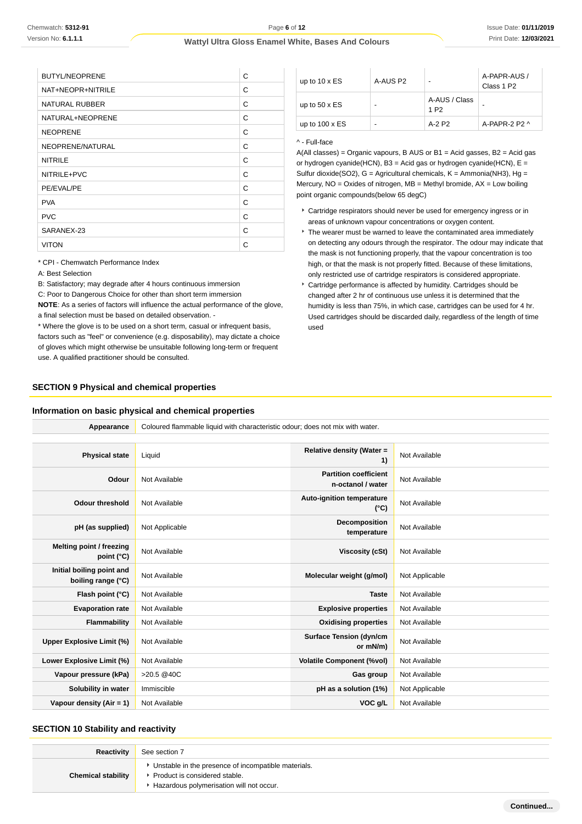| <b>BUTYL/NEOPRENE</b> | С |
|-----------------------|---|
| NAT+NEOPR+NITRILE     | С |
| <b>NATURAL RUBBER</b> | C |
| NATURAL+NEOPRENE      | С |
| <b>NEOPRENE</b>       | С |
| NEOPRENE/NATURAL      | С |
| <b>NITRILE</b>        | C |
| NITRILE+PVC           | C |
| PE/EVAL/PE            | С |
| <b>PVA</b>            | С |
| <b>PVC</b>            | C |
| SARANEX-23            | C |
| <b>VITON</b>          | С |
|                       |   |

| up to $10 \times ES$  | A-AUS P2 | -                                 | A-PAPR-AUS /<br>Class 1 P <sub>2</sub> |
|-----------------------|----------|-----------------------------------|----------------------------------------|
| up to $50 \times ES$  | -        | A-AUS / Class<br>1 P <sub>2</sub> |                                        |
| up to $100 \times ES$ | -        | A-2 P2                            | $A-PAPR-2P2A$                          |

#### ^ - Full-face

A(All classes) = Organic vapours, B AUS or B1 = Acid gasses, B2 = Acid gas or hydrogen cyanide(HCN), B3 = Acid gas or hydrogen cyanide(HCN), E = Sulfur dioxide(SO2),  $G =$  Agricultural chemicals,  $K =$  Ammonia(NH3), Hg = Mercury,  $NO = Oxides$  of nitrogen,  $MB = Methyl$  bromide,  $AX = Low$  boiling point organic compounds(below 65 degC)

- Cartridge respirators should never be used for emergency ingress or in areas of unknown vapour concentrations or oxygen content.
- $\cdot$  The wearer must be warned to leave the contaminated area immediately on detecting any odours through the respirator. The odour may indicate that the mask is not functioning properly, that the vapour concentration is too high, or that the mask is not properly fitted. Because of these limitations, only restricted use of cartridge respirators is considered appropriate.
- Cartridge performance is affected by humidity. Cartridges should be changed after 2 hr of continuous use unless it is determined that the humidity is less than 75%, in which case, cartridges can be used for 4 hr. Used cartridges should be discarded daily, regardless of the length of time used

#### \* CPI - Chemwatch Performance Index

A: Best Selection

B: Satisfactory; may degrade after 4 hours continuous immersion

C: Poor to Dangerous Choice for other than short term immersion

**NOTE**: As a series of factors will influence the actual performance of the glove, a final selection must be based on detailed observation. -

\* Where the glove is to be used on a short term, casual or infrequent basis, factors such as "feel" or convenience (e.g. disposability), may dictate a choice of gloves which might otherwise be unsuitable following long-term or frequent use. A qualified practitioner should be consulted.

#### **SECTION 9 Physical and chemical properties**

#### **Information on basic physical and chemical properties**

| Appearance                                      | Coloured flammable liquid with characteristic odour; does not mix with water. |                                                   |                |
|-------------------------------------------------|-------------------------------------------------------------------------------|---------------------------------------------------|----------------|
|                                                 |                                                                               |                                                   |                |
| <b>Physical state</b>                           | Liquid                                                                        | Relative density (Water =<br>1)                   | Not Available  |
| Odour                                           | Not Available                                                                 | <b>Partition coefficient</b><br>n-octanol / water | Not Available  |
| <b>Odour threshold</b>                          | Not Available                                                                 | Auto-ignition temperature<br>$(^{\circ}C)$        | Not Available  |
| pH (as supplied)                                | Not Applicable                                                                | Decomposition<br>temperature                      | Not Available  |
| Melting point / freezing<br>point (°C)          | Not Available                                                                 | <b>Viscosity (cSt)</b>                            | Not Available  |
| Initial boiling point and<br>boiling range (°C) | Not Available                                                                 | Molecular weight (g/mol)                          | Not Applicable |
| Flash point (°C)                                | Not Available                                                                 | <b>Taste</b>                                      | Not Available  |
| <b>Evaporation rate</b>                         | Not Available                                                                 | <b>Explosive properties</b>                       | Not Available  |
| Flammability                                    | Not Available                                                                 | <b>Oxidising properties</b>                       | Not Available  |
| <b>Upper Explosive Limit (%)</b>                | Not Available                                                                 | <b>Surface Tension (dyn/cm</b><br>or mN/m)        | Not Available  |
| Lower Explosive Limit (%)                       | Not Available                                                                 | <b>Volatile Component (%vol)</b>                  | Not Available  |
| Vapour pressure (kPa)                           | >20.5 @40C                                                                    | Gas group                                         | Not Available  |
| Solubility in water                             | Immiscible                                                                    | pH as a solution (1%)                             | Not Applicable |
| Vapour density (Air = 1)                        | Not Available                                                                 | VOC g/L                                           | Not Available  |

#### **SECTION 10 Stability and reactivity**

| Reactivity                | See section 7                                                                                                                      |
|---------------------------|------------------------------------------------------------------------------------------------------------------------------------|
| <b>Chemical stability</b> | • Unstable in the presence of incompatible materials.<br>Product is considered stable.<br>Hazardous polymerisation will not occur. |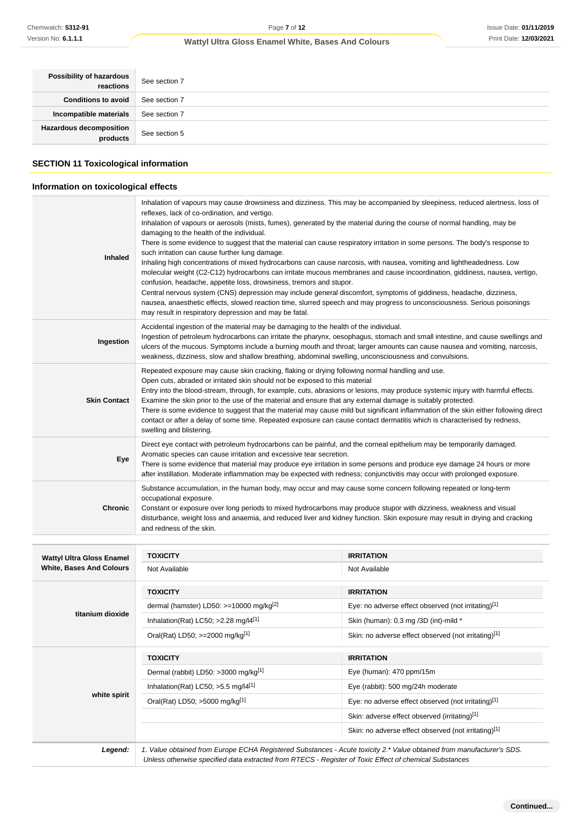| Possibility of hazardous<br>reactions | See section 7 |
|---------------------------------------|---------------|
| <b>Conditions to avoid</b>            | See section 7 |
| Incompatible materials                | See section 7 |
| Hazardous decomposition<br>products   | See section 5 |
|                                       |               |

## **SECTION 11 Toxicological information**

## **Information on toxicological effects**

| Chemwatch: 5312-91                                                  | Page 7 of 12                                                                                                                                                                                                                                                                                                                                                                                                                                                                                                                                                                                                                                                                                                                                                                                                                                                                                                                                                                                                                                                                                                                                                                        |                                                      | Issue Date: 01/11/20  |
|---------------------------------------------------------------------|-------------------------------------------------------------------------------------------------------------------------------------------------------------------------------------------------------------------------------------------------------------------------------------------------------------------------------------------------------------------------------------------------------------------------------------------------------------------------------------------------------------------------------------------------------------------------------------------------------------------------------------------------------------------------------------------------------------------------------------------------------------------------------------------------------------------------------------------------------------------------------------------------------------------------------------------------------------------------------------------------------------------------------------------------------------------------------------------------------------------------------------------------------------------------------------|------------------------------------------------------|-----------------------|
| Version No: 6.1.1.1                                                 | Wattyl Ultra Gloss Enamel White, Bases And Colours                                                                                                                                                                                                                                                                                                                                                                                                                                                                                                                                                                                                                                                                                                                                                                                                                                                                                                                                                                                                                                                                                                                                  |                                                      | Print Date: 12/03/20: |
|                                                                     |                                                                                                                                                                                                                                                                                                                                                                                                                                                                                                                                                                                                                                                                                                                                                                                                                                                                                                                                                                                                                                                                                                                                                                                     |                                                      |                       |
| Possibility of hazardous<br>reactions                               | See section 7                                                                                                                                                                                                                                                                                                                                                                                                                                                                                                                                                                                                                                                                                                                                                                                                                                                                                                                                                                                                                                                                                                                                                                       |                                                      |                       |
| <b>Conditions to avoid</b>                                          | See section 7                                                                                                                                                                                                                                                                                                                                                                                                                                                                                                                                                                                                                                                                                                                                                                                                                                                                                                                                                                                                                                                                                                                                                                       |                                                      |                       |
| Incompatible materials                                              | See section 7                                                                                                                                                                                                                                                                                                                                                                                                                                                                                                                                                                                                                                                                                                                                                                                                                                                                                                                                                                                                                                                                                                                                                                       |                                                      |                       |
| <b>Hazardous decomposition</b><br>products                          | See section 5                                                                                                                                                                                                                                                                                                                                                                                                                                                                                                                                                                                                                                                                                                                                                                                                                                                                                                                                                                                                                                                                                                                                                                       |                                                      |                       |
| <b>SECTION 11 Toxicological information</b>                         |                                                                                                                                                                                                                                                                                                                                                                                                                                                                                                                                                                                                                                                                                                                                                                                                                                                                                                                                                                                                                                                                                                                                                                                     |                                                      |                       |
| Information on toxicological effects                                |                                                                                                                                                                                                                                                                                                                                                                                                                                                                                                                                                                                                                                                                                                                                                                                                                                                                                                                                                                                                                                                                                                                                                                                     |                                                      |                       |
| <b>Inhaled</b>                                                      | Inhalation of vapours may cause drowsiness and dizziness. This may be accompanied by sleepiness, reduced alertness, loss of<br>reflexes, lack of co-ordination, and vertigo.<br>Inhalation of vapours or aerosols (mists, fumes), generated by the material during the course of normal handling, may be<br>damaging to the health of the individual.<br>There is some evidence to suggest that the material can cause respiratory irritation in some persons. The body's response to<br>such irritation can cause further lung damage.<br>Inhaling high concentrations of mixed hydrocarbons can cause narcosis, with nausea, vomiting and lightheadedness. Low<br>molecular weight (C2-C12) hydrocarbons can irritate mucous membranes and cause incoordination, giddiness, nausea, vertigo,<br>confusion, headache, appetite loss, drowsiness, tremors and stupor.<br>Central nervous system (CNS) depression may include general discomfort, symptoms of giddiness, headache, dizziness,<br>nausea, anaesthetic effects, slowed reaction time, slurred speech and may progress to unconsciousness. Serious poisonings<br>may result in respiratory depression and may be fatal. |                                                      |                       |
| Ingestion                                                           | Accidental ingestion of the material may be damaging to the health of the individual.<br>Ingestion of petroleum hydrocarbons can irritate the pharynx, oesophagus, stomach and small intestine, and cause swellings and<br>ulcers of the mucous. Symptoms include a burning mouth and throat; larger amounts can cause nausea and vomiting, narcosis,<br>weakness, dizziness, slow and shallow breathing, abdominal swelling, unconsciousness and convulsions.                                                                                                                                                                                                                                                                                                                                                                                                                                                                                                                                                                                                                                                                                                                      |                                                      |                       |
| <b>Skin Contact</b>                                                 | Repeated exposure may cause skin cracking, flaking or drying following normal handling and use.<br>Open cuts, abraded or irritated skin should not be exposed to this material<br>Entry into the blood-stream, through, for example, cuts, abrasions or lesions, may produce systemic injury with harmful effects.<br>Examine the skin prior to the use of the material and ensure that any external damage is suitably protected.<br>There is some evidence to suggest that the material may cause mild but significant inflammation of the skin either following direct<br>contact or after a delay of some time. Repeated exposure can cause contact dermatitis which is characterised by redness,<br>swelling and blistering.                                                                                                                                                                                                                                                                                                                                                                                                                                                   |                                                      |                       |
| Eye                                                                 | Direct eye contact with petroleum hydrocarbons can be painful, and the corneal epithelium may be temporarily damaged.<br>Aromatic species can cause irritation and excessive tear secretion.<br>There is some evidence that material may produce eye irritation in some persons and produce eye damage 24 hours or more<br>after instillation. Moderate inflammation may be expected with redness; conjunctivitis may occur with prolonged exposure.                                                                                                                                                                                                                                                                                                                                                                                                                                                                                                                                                                                                                                                                                                                                |                                                      |                       |
| Chronic                                                             | Substance accumulation, in the human body, may occur and may cause some concern following repeated or long-term<br>occupational exposure.<br>Constant or exposure over long periods to mixed hydrocarbons may produce stupor with dizziness, weakness and visual<br>disturbance, weight loss and anaemia, and reduced liver and kidney function. Skin exposure may result in drying and cracking<br>and redness of the skin.                                                                                                                                                                                                                                                                                                                                                                                                                                                                                                                                                                                                                                                                                                                                                        |                                                      |                       |
|                                                                     |                                                                                                                                                                                                                                                                                                                                                                                                                                                                                                                                                                                                                                                                                                                                                                                                                                                                                                                                                                                                                                                                                                                                                                                     |                                                      |                       |
| <b>Wattyl Ultra Gloss Enamel</b><br><b>White, Bases And Colours</b> | <b>TOXICITY</b><br>Not Available                                                                                                                                                                                                                                                                                                                                                                                                                                                                                                                                                                                                                                                                                                                                                                                                                                                                                                                                                                                                                                                                                                                                                    | <b>IRRITATION</b><br>Not Available                   |                       |
|                                                                     | <b>TOXICITY</b>                                                                                                                                                                                                                                                                                                                                                                                                                                                                                                                                                                                                                                                                                                                                                                                                                                                                                                                                                                                                                                                                                                                                                                     | <b>IRRITATION</b>                                    |                       |
|                                                                     | dermal (hamster) LD50: $>=10000$ mg/kg <sup>[2]</sup>                                                                                                                                                                                                                                                                                                                                                                                                                                                                                                                                                                                                                                                                                                                                                                                                                                                                                                                                                                                                                                                                                                                               | Eye: no adverse effect observed (not irritating)[1]  |                       |
| titanium dioxide                                                    | Inhalation(Rat) LC50; $>2.28$ mg/l4 <sup>[1]</sup>                                                                                                                                                                                                                                                                                                                                                                                                                                                                                                                                                                                                                                                                                                                                                                                                                                                                                                                                                                                                                                                                                                                                  | Skin (human): 0.3 mg /3D (int)-mild *                |                       |
|                                                                     | Oral(Rat) LD50; >=2000 mg/kg <sup>[1]</sup>                                                                                                                                                                                                                                                                                                                                                                                                                                                                                                                                                                                                                                                                                                                                                                                                                                                                                                                                                                                                                                                                                                                                         | Skin: no adverse effect observed (not irritating)[1] |                       |
|                                                                     |                                                                                                                                                                                                                                                                                                                                                                                                                                                                                                                                                                                                                                                                                                                                                                                                                                                                                                                                                                                                                                                                                                                                                                                     |                                                      |                       |
|                                                                     | <b>TOXICITY</b>                                                                                                                                                                                                                                                                                                                                                                                                                                                                                                                                                                                                                                                                                                                                                                                                                                                                                                                                                                                                                                                                                                                                                                     | <b>IRRITATION</b>                                    |                       |
|                                                                     | Dermal (rabbit) LD50: >3000 mg/kg <sup>[1]</sup>                                                                                                                                                                                                                                                                                                                                                                                                                                                                                                                                                                                                                                                                                                                                                                                                                                                                                                                                                                                                                                                                                                                                    | Eye (human): 470 ppm/15m                             |                       |
| white spirit                                                        | Inhalation(Rat) LC50; $>5.5$ mg/l4 <sup>[1]</sup>                                                                                                                                                                                                                                                                                                                                                                                                                                                                                                                                                                                                                                                                                                                                                                                                                                                                                                                                                                                                                                                                                                                                   | Eye (rabbit): 500 mg/24h moderate                    |                       |
|                                                                     | Oral(Rat) LD50; $>5000$ mg/kg <sup>[1]</sup>                                                                                                                                                                                                                                                                                                                                                                                                                                                                                                                                                                                                                                                                                                                                                                                                                                                                                                                                                                                                                                                                                                                                        | Eye: no adverse effect observed (not irritating)[1]  |                       |
|                                                                     |                                                                                                                                                                                                                                                                                                                                                                                                                                                                                                                                                                                                                                                                                                                                                                                                                                                                                                                                                                                                                                                                                                                                                                                     | Skin: adverse effect observed (irritating)[1]        |                       |
|                                                                     |                                                                                                                                                                                                                                                                                                                                                                                                                                                                                                                                                                                                                                                                                                                                                                                                                                                                                                                                                                                                                                                                                                                                                                                     | Skin: no adverse effect observed (not irritating)[1] |                       |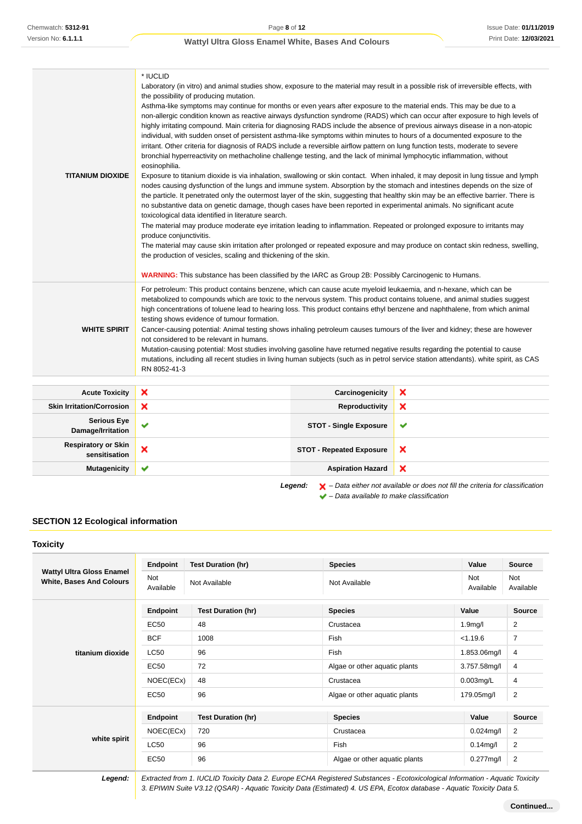| <b>TITANIUM DIOXIDE</b> | * IUCLID<br>Laboratory (in vitro) and animal studies show, exposure to the material may result in a possible risk of irreversible effects, with<br>the possibility of producing mutation.<br>Asthma-like symptoms may continue for months or even years after exposure to the material ends. This may be due to a<br>non-allergic condition known as reactive airways dysfunction syndrome (RADS) which can occur after exposure to high levels of<br>highly irritating compound. Main criteria for diagnosing RADS include the absence of previous airways disease in a non-atopic<br>individual, with sudden onset of persistent asthma-like symptoms within minutes to hours of a documented exposure to the<br>irritant. Other criteria for diagnosis of RADS include a reversible airflow pattern on lung function tests, moderate to severe<br>bronchial hyperreactivity on methacholine challenge testing, and the lack of minimal lymphocytic inflammation, without<br>eosinophilia.<br>Exposure to titanium dioxide is via inhalation, swallowing or skin contact. When inhaled, it may deposit in lung tissue and lymph<br>nodes causing dysfunction of the lungs and immune system. Absorption by the stomach and intestines depends on the size of<br>the particle. It penetrated only the outermost layer of the skin, suggesting that healthy skin may be an effective barrier. There is<br>no substantive data on genetic damage, though cases have been reported in experimental animals. No significant acute<br>toxicological data identified in literature search.<br>The material may produce moderate eye irritation leading to inflammation. Repeated or prolonged exposure to irritants may<br>produce conjunctivitis.<br>The material may cause skin irritation after prolonged or repeated exposure and may produce on contact skin redness, swelling,<br>the production of vesicles, scaling and thickening of the skin.<br><b>WARNING:</b> This substance has been classified by the IARC as Group 2B: Possibly Carcinogenic to Humans. |
|-------------------------|--------------------------------------------------------------------------------------------------------------------------------------------------------------------------------------------------------------------------------------------------------------------------------------------------------------------------------------------------------------------------------------------------------------------------------------------------------------------------------------------------------------------------------------------------------------------------------------------------------------------------------------------------------------------------------------------------------------------------------------------------------------------------------------------------------------------------------------------------------------------------------------------------------------------------------------------------------------------------------------------------------------------------------------------------------------------------------------------------------------------------------------------------------------------------------------------------------------------------------------------------------------------------------------------------------------------------------------------------------------------------------------------------------------------------------------------------------------------------------------------------------------------------------------------------------------------------------------------------------------------------------------------------------------------------------------------------------------------------------------------------------------------------------------------------------------------------------------------------------------------------------------------------------------------------------------------------------------------------------------------------------------------------------------------------------------------|
| <b>WHITE SPIRIT</b>     | For petroleum: This product contains benzene, which can cause acute myeloid leukaemia, and n-hexane, which can be<br>metabolized to compounds which are toxic to the nervous system. This product contains toluene, and animal studies suggest<br>high concentrations of toluene lead to hearing loss. This product contains ethyl benzene and naphthalene, from which animal<br>testing shows evidence of tumour formation.<br>Cancer-causing potential: Animal testing shows inhaling petroleum causes tumours of the liver and kidney; these are however<br>not considered to be relevant in humans.<br>Mutation-causing potential: Most studies involving gasoline have returned negative results regarding the potential to cause<br>mutations, including all recent studies in living human subjects (such as in petrol service station attendants). white spirit, as CAS<br>RN 8052-41-3                                                                                                                                                                                                                                                                                                                                                                                                                                                                                                                                                                                                                                                                                                                                                                                                                                                                                                                                                                                                                                                                                                                                                                    |

| <b>Acute Toxicity</b>                                                                                         | ×                         | Carcinogenicity                 | ×                         |
|---------------------------------------------------------------------------------------------------------------|---------------------------|---------------------------------|---------------------------|
| <b>Skin Irritation/Corrosion</b>                                                                              | $\boldsymbol{\mathsf{x}}$ | Reproductivity                  | ×                         |
| <b>Serious Eye</b><br>Damage/Irritation                                                                       | $\checkmark$              | <b>STOT - Single Exposure</b>   | $\checkmark$              |
| <b>Respiratory or Skin</b><br>sensitisation                                                                   | ×                         | <b>STOT - Repeated Exposure</b> | $\boldsymbol{\mathsf{x}}$ |
| <b>Mutagenicity</b>                                                                                           | $\checkmark$              | <b>Aspiration Hazard</b>        | ×                         |
| $\blacktriangleright$ - Data either not available or does not fill the criteria for classification<br>Legend: |                           |                                 |                           |

 $\blacktriangleright$  – Data available to make classification

## **SECTION 12 Ecological information**

**Toxicity**

| .                                                                   |                  |                           |                               |                      |                         |
|---------------------------------------------------------------------|------------------|---------------------------|-------------------------------|----------------------|-------------------------|
|                                                                     | Endpoint         | <b>Test Duration (hr)</b> | <b>Species</b>                | Value                | <b>Source</b>           |
| <b>Wattyl Ultra Gloss Enamel</b><br><b>White, Bases And Colours</b> | Not<br>Available | Not Available             | Not Available                 | Not<br>Available     | Not<br>Available        |
|                                                                     | Endpoint         | <b>Test Duration (hr)</b> | <b>Species</b>                | Value                | Source                  |
|                                                                     | <b>EC50</b>      | 48                        | Crustacea                     | 1.9 <sub>m</sub> g/l | $\overline{c}$          |
| titanium dioxide                                                    | <b>BCF</b>       | 1008                      | Fish                          | < 1.19.6             | $\overline{7}$          |
|                                                                     | LC50             | 96                        | Fish                          | 1.853.06mg/l         | 4                       |
|                                                                     | <b>EC50</b>      | 72                        | Algae or other aquatic plants | 3.757.58mg/l         | 4                       |
|                                                                     | NOEC(ECx)        | 48                        | Crustacea                     | $0.003$ mg/L         | 4                       |
|                                                                     | <b>EC50</b>      | 96                        | Algae or other aquatic plants | 179.05mg/l           | $\overline{\mathbf{c}}$ |
|                                                                     | Endpoint         | <b>Test Duration (hr)</b> | <b>Species</b>                | Value                | Source                  |
| white spirit                                                        | NOEC(ECx)        | 720                       | Crustacea                     | $0.024$ mg/l         | $\overline{2}$          |
|                                                                     | <b>LC50</b>      | 96                        | Fish                          | $0.14$ mg/l          | $\overline{c}$          |
|                                                                     | <b>EC50</b>      | 96                        | Algae or other aquatic plants | $0.277$ mg/l         | $\overline{c}$          |
|                                                                     |                  |                           |                               |                      |                         |

**Legend:** Extracted from 1. IUCLID Toxicity Data 2. Europe ECHA Registered Substances - Ecotoxicological Information - Aquatic Toxicity 3. EPIWIN Suite V3.12 (QSAR) - Aquatic Toxicity Data (Estimated) 4. US EPA, Ecotox database - Aquatic Toxicity Data 5.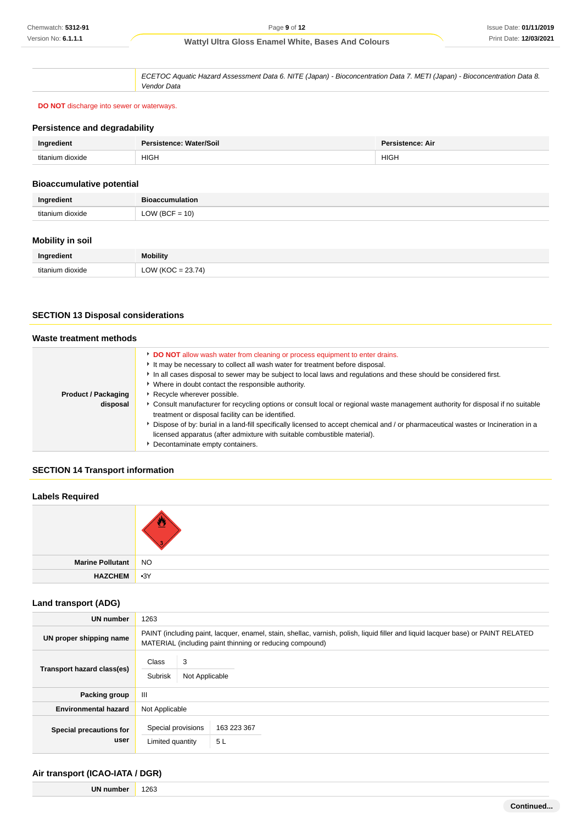ECETOC Aquatic Hazard Assessment Data 6. NITE (Japan) - Bioconcentration Data 7. METI (Japan) - Bioconcentration Data 8. Vendor Data

**DO NOT** discharge into sewer or waterways.

#### **Persistence and degradability**

| Ingredient       | Persistence: Water/Soil | Persistence: Air |
|------------------|-------------------------|------------------|
| titanium dioxide | <b>HIGH</b>             | <b>HIGH</b>      |

#### **Bioaccumulative potential**

| redient          | <b>Bioaccumulation</b> |
|------------------|------------------------|
| titanium dioxide | $OW (BCF = 10)$        |

## **Mobility in soil**

| Ingredient       | <b>Mobility</b>       |
|------------------|-----------------------|
| titanium dioxide | $= 23.74$<br>LOW (KOC |

### **SECTION 13 Disposal considerations**

| Waste treatment methods                |                                                                                                                                                                                                                                                                                                                                                                                                                                                                                                                                                                                                                                                                                                                                                                                                                           |
|----------------------------------------|---------------------------------------------------------------------------------------------------------------------------------------------------------------------------------------------------------------------------------------------------------------------------------------------------------------------------------------------------------------------------------------------------------------------------------------------------------------------------------------------------------------------------------------------------------------------------------------------------------------------------------------------------------------------------------------------------------------------------------------------------------------------------------------------------------------------------|
| <b>Product / Packaging</b><br>disposal | <b>DO NOT</b> allow wash water from cleaning or process equipment to enter drains.<br>It may be necessary to collect all wash water for treatment before disposal.<br>In all cases disposal to sewer may be subject to local laws and regulations and these should be considered first.<br>• Where in doubt contact the responsible authority.<br>Recycle wherever possible.<br>► Consult manufacturer for recycling options or consult local or regional waste management authority for disposal if no suitable<br>treatment or disposal facility can be identified.<br>Dispose of by: burial in a land-fill specifically licensed to accept chemical and / or pharmaceutical wastes or Incineration in a<br>licensed apparatus (after admixture with suitable combustible material).<br>Decontaminate empty containers. |

### **SECTION 14 Transport information**

# **Labels Required Marine Pollutant** NO **HAZCHEM** •3Y

### **Land transport (ADG)**

| <b>UN number</b>                | 1263                                                                                                                                                                                          |                   |  |  |
|---------------------------------|-----------------------------------------------------------------------------------------------------------------------------------------------------------------------------------------------|-------------------|--|--|
| UN proper shipping name         | PAINT (including paint, lacquer, enamel, stain, shellac, varnish, polish, liquid filler and liquid lacquer base) or PAINT RELATED<br>MATERIAL (including paint thinning or reducing compound) |                   |  |  |
| Transport hazard class(es)      | 3<br><b>Class</b><br>Subrisk<br>Not Applicable                                                                                                                                                |                   |  |  |
| Packing group                   | $\mathbf{III}$                                                                                                                                                                                |                   |  |  |
| <b>Environmental hazard</b>     | Not Applicable                                                                                                                                                                                |                   |  |  |
| Special precautions for<br>user | Special provisions<br>Limited quantity                                                                                                                                                        | 163 223 367<br>5L |  |  |

### **Air transport (ICAO-IATA / DGR)**

**UN number** 1263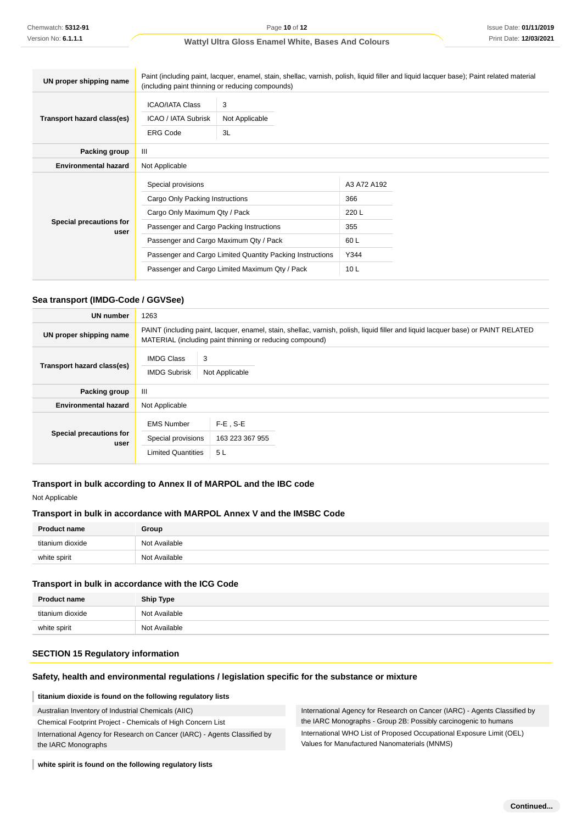| UN proper shipping name         | Paint (including paint, lacquer, enamel, stain, shellac, varnish, polish, liquid filler and liquid lacquer base); Paint related material<br>(including paint thinning or reducing compounds) |                           |                 |  |
|---------------------------------|----------------------------------------------------------------------------------------------------------------------------------------------------------------------------------------------|---------------------------|-----------------|--|
| Transport hazard class(es)      | <b>ICAO/IATA Class</b><br><b>ICAO / IATA Subrisk</b><br><b>ERG Code</b>                                                                                                                      | 3<br>Not Applicable<br>3L |                 |  |
| Packing group                   | $\mathbf{III}$                                                                                                                                                                               |                           |                 |  |
| <b>Environmental hazard</b>     | Not Applicable                                                                                                                                                                               |                           |                 |  |
| Special precautions for<br>user | Special provisions                                                                                                                                                                           |                           | A3 A72 A192     |  |
|                                 | Cargo Only Packing Instructions                                                                                                                                                              |                           | 366             |  |
|                                 | Cargo Only Maximum Qty / Pack                                                                                                                                                                |                           | 220L            |  |
|                                 | Passenger and Cargo Packing Instructions                                                                                                                                                     |                           | 355             |  |
|                                 | Passenger and Cargo Maximum Qty / Pack                                                                                                                                                       |                           | 60 L            |  |
|                                 | Passenger and Cargo Limited Quantity Packing Instructions                                                                                                                                    |                           | Y344            |  |
|                                 | Passenger and Cargo Limited Maximum Qty / Pack                                                                                                                                               |                           | 10 <sub>L</sub> |  |

### **Sea transport (IMDG-Code / GGVSee)**

| <b>UN number</b>                | 1263                                                                                                                                                                                          |                                      |  |
|---------------------------------|-----------------------------------------------------------------------------------------------------------------------------------------------------------------------------------------------|--------------------------------------|--|
| UN proper shipping name         | PAINT (including paint, lacquer, enamel, stain, shellac, varnish, polish, liquid filler and liquid lacquer base) or PAINT RELATED<br>MATERIAL (including paint thinning or reducing compound) |                                      |  |
| Transport hazard class(es)      | <b>IMDG Class</b><br>3<br><b>IMDG Subrisk</b><br>Not Applicable                                                                                                                               |                                      |  |
| Packing group                   | $\mathbf{III}$                                                                                                                                                                                |                                      |  |
| <b>Environmental hazard</b>     | Not Applicable                                                                                                                                                                                |                                      |  |
| Special precautions for<br>user | <b>EMS Number</b><br>Special provisions<br><b>Limited Quantities</b>                                                                                                                          | $F-E$ , S-E<br>163 223 367 955<br>5L |  |

### **Transport in bulk according to Annex II of MARPOL and the IBC code**

#### Not Applicable

#### **Transport in bulk in accordance with MARPOL Annex V and the IMSBC Code**

| <b>Product name</b> | Group         |
|---------------------|---------------|
| titanium dioxide    | Not Available |
| white spirit        | Not Available |

#### **Transport in bulk in accordance with the ICG Code**

| <b>Product name</b> | <b>Ship Type</b> |
|---------------------|------------------|
| titanium dioxide    | Not Available    |
| white spirit        | Not Available    |

#### **SECTION 15 Regulatory information**

#### **Safety, health and environmental regulations / legislation specific for the substance or mixture**

#### **titanium dioxide is found on the following regulatory lists**

Australian Inventory of Industrial Chemicals (AIIC)

Chemical Footprint Project - Chemicals of High Concern List

International Agency for Research on Cancer (IARC) - Agents Classified by the IARC Monographs

International Agency for Research on Cancer (IARC) - Agents Classified by the IARC Monographs - Group 2B: Possibly carcinogenic to humans International WHO List of Proposed Occupational Exposure Limit (OEL) Values for Manufactured Nanomaterials (MNMS)

**white spirit is found on the following regulatory lists**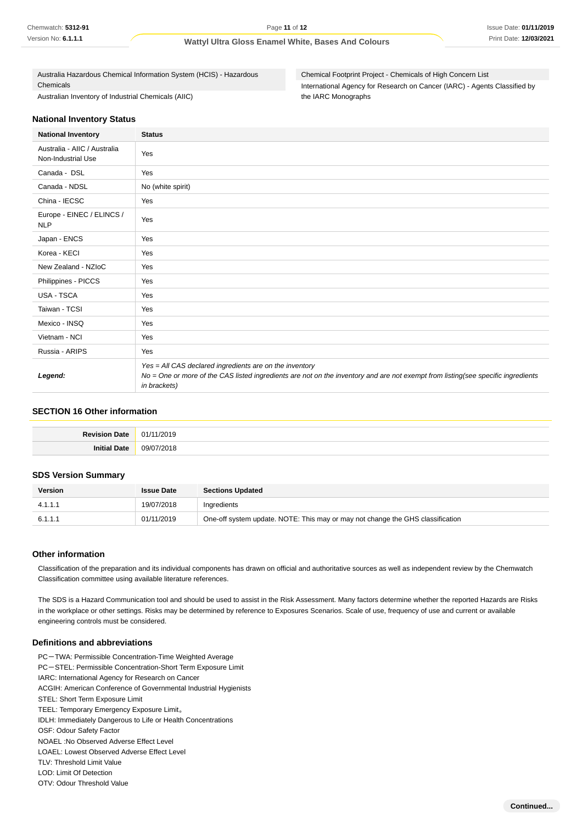Australia Hazardous Chemical Information System (HCIS) - Hazardous Chemicals Australian Inventory of Industrial Chemicals (AIIC)

Chemical Footprint Project - Chemicals of High Concern List International Agency for Research on Cancer (IARC) - Agents Classified by the IARC Monographs

#### **National Inventory Status**

| <b>National Inventory</b>                          | <b>Status</b>                                                                                                                                                                                               |  |  |
|----------------------------------------------------|-------------------------------------------------------------------------------------------------------------------------------------------------------------------------------------------------------------|--|--|
| Australia - AIIC / Australia<br>Non-Industrial Use | Yes                                                                                                                                                                                                         |  |  |
| Canada - DSL                                       | Yes                                                                                                                                                                                                         |  |  |
| Canada - NDSL                                      | No (white spirit)                                                                                                                                                                                           |  |  |
| China - IECSC                                      | Yes                                                                                                                                                                                                         |  |  |
| Europe - EINEC / ELINCS /<br><b>NLP</b>            | Yes                                                                                                                                                                                                         |  |  |
| Japan - ENCS                                       | Yes                                                                                                                                                                                                         |  |  |
| Korea - KECI                                       | Yes                                                                                                                                                                                                         |  |  |
| New Zealand - NZIoC                                | Yes                                                                                                                                                                                                         |  |  |
| Philippines - PICCS                                | Yes                                                                                                                                                                                                         |  |  |
| USA - TSCA                                         | Yes                                                                                                                                                                                                         |  |  |
| Taiwan - TCSI                                      | Yes                                                                                                                                                                                                         |  |  |
| Mexico - INSQ                                      | Yes                                                                                                                                                                                                         |  |  |
| Vietnam - NCI                                      | Yes                                                                                                                                                                                                         |  |  |
| Russia - ARIPS                                     | Yes                                                                                                                                                                                                         |  |  |
| Legend:                                            | Yes = All CAS declared ingredients are on the inventory<br>No = One or more of the CAS listed ingredients are not on the inventory and are not exempt from listing(see specific ingredients<br>in brackets) |  |  |

#### **SECTION 16 Other information**

| Revision | /2019        |
|----------|--------------|
| Date     | $\mathsf{M}$ |
| Date     | ില് വ        |
| Init     | 10010        |

#### **SDS Version Summary**

| <b>Version</b> | <b>Issue Date</b> | <b>Sections Updated</b>                                                        |
|----------------|-------------------|--------------------------------------------------------------------------------|
| 4.1.1.1        | 19/07/2018        | Ingredients                                                                    |
| 6.1.1.1        | 01/11/2019        | One-off system update. NOTE: This may or may not change the GHS classification |

#### **Other information**

Classification of the preparation and its individual components has drawn on official and authoritative sources as well as independent review by the Chemwatch Classification committee using available literature references.

The SDS is a Hazard Communication tool and should be used to assist in the Risk Assessment. Many factors determine whether the reported Hazards are Risks in the workplace or other settings. Risks may be determined by reference to Exposures Scenarios. Scale of use, frequency of use and current or available engineering controls must be considered.

#### **Definitions and abbreviations**

PC-TWA: Permissible Concentration-Time Weighted Average PC-STEL: Permissible Concentration-Short Term Exposure Limit IARC: International Agency for Research on Cancer ACGIH: American Conference of Governmental Industrial Hygienists STEL: Short Term Exposure Limit TEEL: Temporary Emergency Exposure Limit。 IDLH: Immediately Dangerous to Life or Health Concentrations OSF: Odour Safety Factor NOAEL :No Observed Adverse Effect Level LOAEL: Lowest Observed Adverse Effect Level TLV: Threshold Limit Value LOD: Limit Of Detection OTV: Odour Threshold Value